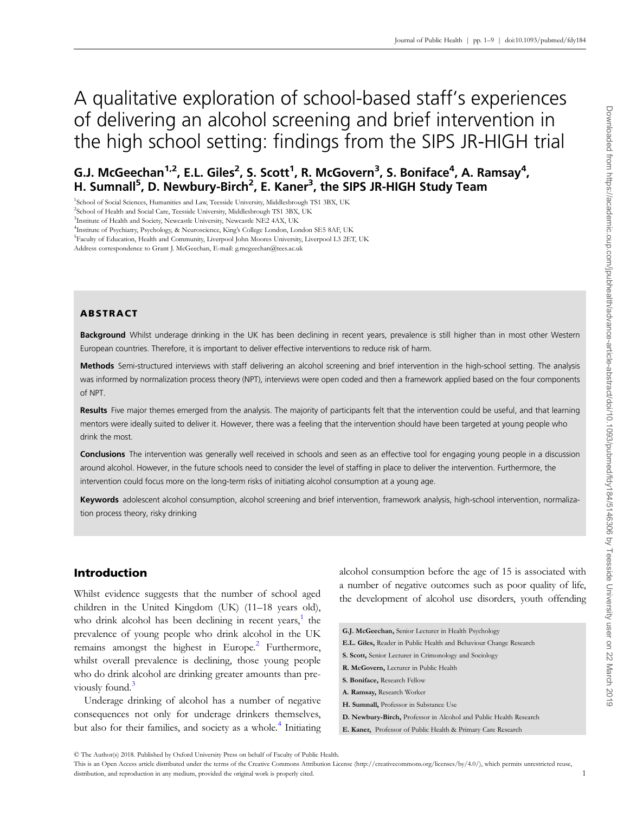# A qualitative exploration of school-based staff's experiences of delivering an alcohol screening and brief intervention in the high school setting: findings from the SIPS JR-HIGH trial

# G.J. McGeechan<sup>1,2</sup>, E.L. Giles<sup>2</sup>, S. Scott<sup>1</sup>, R. McGovern<sup>3</sup>, S. Boniface<sup>4</sup>, A. Ramsay<sup>4</sup>, H. Sumnall<sup>5</sup>, D. Newbury-Birch<sup>2</sup>, E. Kaner<sup>3</sup>, the SIPS JR-HIGH Study Team

<sup>1</sup>School of Social Sciences, Humanities and Law, Teesside University, Middlesbrough TS1 3BX, UK

<sup>2</sup>School of Health and Social Care, Teesside University, Middlesbrough TS1 3BX, UK

<sup>3</sup>Institute of Health and Society, Newcastle University, Newcastle NE2 4AX, UK

4 Institute of Psychiatry, Psychology, & Neuroscience, King's College London, London SE5 8AF, UK

<sup>5</sup> Faculty of Education, Health and Community, Liverpool John Moores University, Liverpool L3 2ET, UK

Address correspondence to Grant J. McGeechan, E-mail: g.mcgeechan@tees.ac.uk

# ABSTRACT

Background Whilst underage drinking in the UK has been declining in recent years, prevalence is still higher than in most other Western European countries. Therefore, it is important to deliver effective interventions to reduce risk of harm.

Methods Semi-structured interviews with staff delivering an alcohol screening and brief intervention in the high-school setting. The analysis was informed by normalization process theory (NPT), interviews were open coded and then a framework applied based on the four components of NPT.

Results Five major themes emerged from the analysis. The majority of participants felt that the intervention could be useful, and that learning mentors were ideally suited to deliver it. However, there was a feeling that the intervention should have been targeted at young people who drink the most.

Conclusions The intervention was generally well received in schools and seen as an effective tool for engaging young people in a discussion around alcohol. However, in the future schools need to consider the level of staffing in place to deliver the intervention. Furthermore, the intervention could focus more on the long-term risks of initiating alcohol consumption at a young age.

Keywords adolescent alcohol consumption, alcohol screening and brief intervention, framework analysis, high-school intervention, normalization process theory, risky drinking

# Introduction

Whilst evidence suggests that the number of school aged children in the United Kingdom (UK) (11–18 years old), who drink alcohol has been declining in recent years, $\frac{1}{1}$  $\frac{1}{1}$  $\frac{1}{1}$  the prevalence of young people who drink alcohol in the UK remains amongst the highest in Europe.<sup>[2](#page-7-0)</sup> Furthermore, whilst overall prevalence is declining, those young people who do drink alcohol are drinking greater amounts than pre-viously found.<sup>[3](#page-7-0)</sup>

Underage drinking of alcohol has a number of negative consequences not only for underage drinkers themselves, but also for their families, and society as a whole.<sup>[4](#page-7-0)</sup> Initiating alcohol consumption before the age of 15 is associated with a number of negative outcomes such as poor quality of life, the development of alcohol use disorders, youth offending

| G.J. McGeechan, Senior Lecturer in Health Psychology                     |
|--------------------------------------------------------------------------|
| <b>E.L. Giles, Reader in Public Health and Behaviour Change Research</b> |
| <b>S. Scott, Senior Lecturer in Crimonology and Sociology</b>            |
| R. McGovern, Lecturer in Public Health                                   |
| <b>S. Boniface, Research Fellow</b>                                      |

- A. Ramsay, Research Worker
- H. Sumnall, Professor in Substance Use
- D. Newbury-Birch, Professor in Alcohol and Public Health Research
- E. Kaner, Professor of Public Health & Primary Care Research

<sup>©</sup> The Author(s) 2018. Published by Oxford University Press on behalf of Faculty of Public Health.

This is an Open Access article distributed under the terms of the Creative Commons Attribution License [\(http://creativecommons.org/licenses/by/4.0/\)](http://creativecommons.org/licenses/by/4.0/), which permits unrestricted reuse, distribution, and reproduction in any medium, provided the original work is properly cited. 1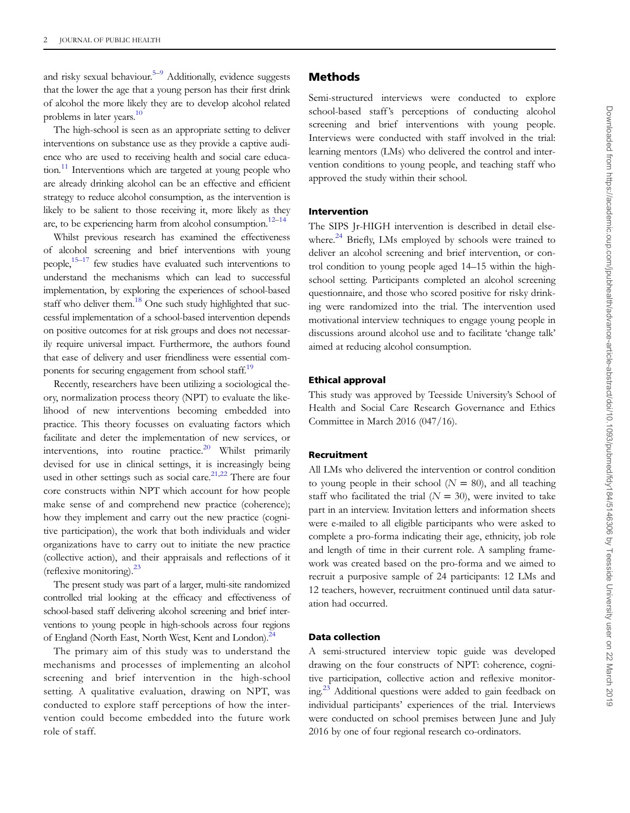and risky sexual behaviour.<sup>5–[9](#page-7-0)</sup> Additionally, evidence suggests that the lower the age that a young person has their first drink of alcohol the more likely they are to develop alcohol related problems in later years.<sup>[10](#page-7-0)</sup>

The high-school is seen as an appropriate setting to deliver interventions on substance use as they provide a captive audience who are used to receiving health and social care education. $11$  Interventions which are targeted at young people who are already drinking alcohol can be an effective and efficient strategy to reduce alcohol consumption, as the intervention is likely to be salient to those receiving it, more likely as they are, to be experiencing harm from alcohol consumption. $12-14$  $12-14$  $12-14$ 

Whilst previous research has examined the effectiveness of alcohol screening and brief interventions with young people, $15-17$  $15-17$  few studies have evaluated such interventions to understand the mechanisms which can lead to successful implementation, by exploring the experiences of school-based staff who deliver them.<sup>18</sup> One such study highlighted that successful implementation of a school-based intervention depends on positive outcomes for at risk groups and does not necessarily require universal impact. Furthermore, the authors found that ease of delivery and user friendliness were essential com-ponents for securing engagement from school staff.<sup>[19](#page-7-0)</sup>

Recently, researchers have been utilizing a sociological theory, normalization process theory (NPT) to evaluate the likelihood of new interventions becoming embedded into practice. This theory focusses on evaluating factors which facilitate and deter the implementation of new services, or interventions, into routine practice. $20$  Whilst primarily devised for use in clinical settings, it is increasingly being used in other settings such as social care. $21,22$  $21,22$  There are four core constructs within NPT which account for how people make sense of and comprehend new practice (coherence); how they implement and carry out the new practice (cognitive participation), the work that both individuals and wider organizations have to carry out to initiate the new practice (collective action), and their appraisals and reflections of it (reflexive monitoring). $^{23}$  $^{23}$  $^{23}$ 

The present study was part of a larger, multi-site randomized controlled trial looking at the efficacy and effectiveness of school-based staff delivering alcohol screening and brief interventions to young people in high-schools across four regions of England (North East, North West, Kent and London).<sup>24</sup>

The primary aim of this study was to understand the mechanisms and processes of implementing an alcohol screening and brief intervention in the high-school setting. A qualitative evaluation, drawing on NPT, was conducted to explore staff perceptions of how the intervention could become embedded into the future work role of staff.

### Methods

Semi-structured interviews were conducted to explore school-based staff's perceptions of conducting alcohol screening and brief interventions with young people. Interviews were conducted with staff involved in the trial: learning mentors (LMs) who delivered the control and intervention conditions to young people, and teaching staff who approved the study within their school.

#### Intervention

The SIPS Jr-HIGH intervention is described in detail elsewhere.<sup>24</sup> Briefly, LMs employed by schools were trained to deliver an alcohol screening and brief intervention, or control condition to young people aged 14–15 within the highschool setting. Participants completed an alcohol screening questionnaire, and those who scored positive for risky drinking were randomized into the trial. The intervention used motivational interview techniques to engage young people in discussions around alcohol use and to facilitate 'change talk' aimed at reducing alcohol consumption.

#### Ethical approval

This study was approved by Teesside University's School of Health and Social Care Research Governance and Ethics Committee in March 2016 (047/16).

### Recruitment

All LMs who delivered the intervention or control condition to young people in their school ( $N = 80$ ), and all teaching staff who facilitated the trial ( $N = 30$ ), were invited to take part in an interview. Invitation letters and information sheets were e-mailed to all eligible participants who were asked to complete a pro-forma indicating their age, ethnicity, job role and length of time in their current role. A sampling framework was created based on the pro-forma and we aimed to recruit a purposive sample of 24 participants: 12 LMs and 12 teachers, however, recruitment continued until data saturation had occurred.

#### Data collection

A semi-structured interview topic guide was developed drawing on the four constructs of NPT: coherence, cognitive participation, collective action and reflexive monitor-ing.<sup>[23](#page-8-0)</sup> Additional questions were added to gain feedback on individual participants' experiences of the trial. Interviews were conducted on school premises between June and July 2016 by one of four regional research co-ordinators.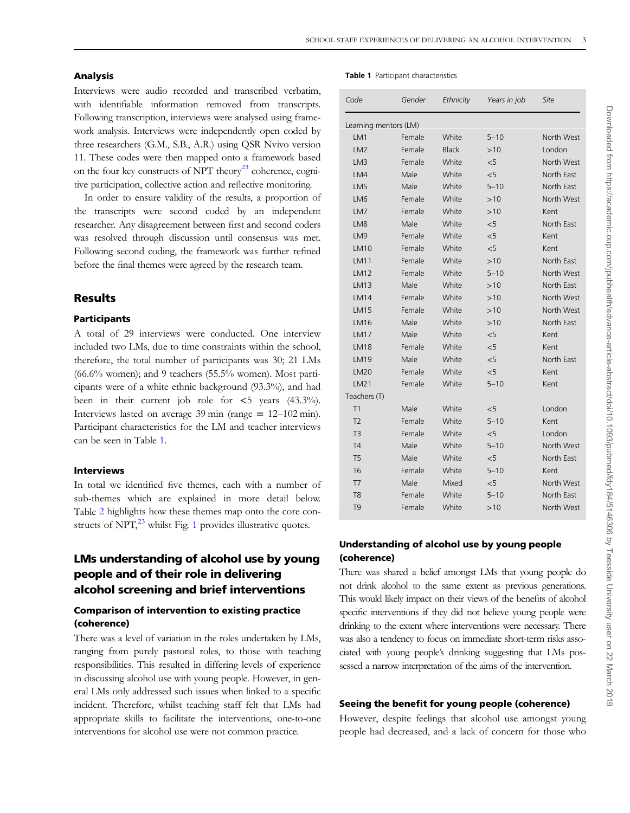### Analysis

Interviews were audio recorded and transcribed verbatim, with identifiable information removed from transcripts. Following transcription, interviews were analysed using framework analysis. Interviews were independently open coded by three researchers (G.M., S.B., A.R.) using QSR Nvivo version 11. These codes were then mapped onto a framework based on the four key constructs of NPT theory<sup>[23](#page-8-0)</sup> coherence, cognitive participation, collective action and reflective monitoring.

In order to ensure validity of the results, a proportion of the transcripts were second coded by an independent researcher. Any disagreement between first and second coders was resolved through discussion until consensus was met. Following second coding, the framework was further refined before the final themes were agreed by the research team.

# **Results**

### Participants

A total of 29 interviews were conducted. One interview included two LMs, due to time constraints within the school, therefore, the total number of participants was 30; 21 LMs (66.6% women); and 9 teachers (55.5% women). Most participants were of a white ethnic background (93.3%), and had been in their current job role for  $\lt 5$  years (43.3%). Interviews lasted on average 39 min (range = 12–102 min). Participant characteristics for the LM and teacher interviews can be seen in Table 1.

### Interviews

In total we identified five themes, each with a number of sub-themes which are explained in more detail below. Table [2](#page-3-0) highlights how these themes map onto the core constructs of  $NPT<sub>1</sub><sup>23</sup>$  $NPT<sub>1</sub><sup>23</sup>$  $NPT<sub>1</sub><sup>23</sup>$  whilst Fig. [1](#page-4-0) provides illustrative quotes.

# LMs understanding of alcohol use by young people and of their role in delivering alcohol screening and brief interventions

# Comparison of intervention to existing practice (coherence)

There was a level of variation in the roles undertaken by LMs, ranging from purely pastoral roles, to those with teaching responsibilities. This resulted in differing levels of experience in discussing alcohol use with young people. However, in general LMs only addressed such issues when linked to a specific incident. Therefore, whilst teaching staff felt that LMs had appropriate skills to facilitate the interventions, one-to-one interventions for alcohol use were not common practice.

#### Table 1 Participant characteristics

| Code                  | Gender | Ethnicity    | Years in job | Site       |
|-----------------------|--------|--------------|--------------|------------|
| Learning mentors (LM) |        |              |              |            |
| LM1                   | Female | White        | $5 - 10$     | North West |
| LM <sub>2</sub>       | Female | <b>Black</b> | >10          | London     |
| LM3                   | Female | White        | $<$ 5        | North West |
| LM4                   | Male   | White        | $<$ 5        | North East |
| LM <sub>5</sub>       | Male   | White        | $5 - 10$     | North East |
| LM <sub>6</sub>       | Female | White        | >10          | North West |
| LM7                   | Female | White        | >10          | Kent       |
| LM8                   | Male   | White        | $<$ 5        | North East |
| LM <sub>9</sub>       | Female | White        | $<$ 5        | Kent       |
| <b>LM10</b>           | Female | White        | $<$ 5        | Kent       |
| LM11                  | Female | White        | >10          | North East |
| <b>LM12</b>           | Female | White        | $5 - 10$     | North West |
| LM13                  | Male   | White        | >10          | North East |
| LM14                  | Female | White        | >10          | North West |
| LM15                  | Female | White        | >10          | North West |
| LM16                  | Male   | White        | >10          | North East |
| <b>LM17</b>           | Male   | White        | $<$ 5        | Kent       |
| <b>LM18</b>           | Female | White        | $<$ 5        | Kent       |
| LM19                  | Male   | White        | $<$ 5        | North East |
| <b>LM20</b>           | Female | White        | $<$ 5        | Kent       |
| LM21                  | Female | White        | $5 - 10$     | Kent       |
| Teachers (T)          |        |              |              |            |
| T1                    | Male   | White        | $<$ 5        | London     |
| T <sub>2</sub>        | Female | White        | $5 - 10$     | Kent       |
| T3                    | Female | White        | $<$ 5        | London     |
| T <sub>4</sub>        | Male   | White        | $5 - 10$     | North West |
| T <sub>5</sub>        | Male   | White        | < 5          | North East |
| T <sub>6</sub>        | Female | White        | $5 - 10$     | Kent       |
| T7                    | Male   | Mixed        | $<$ 5        | North West |
| T <sub>8</sub>        | Female | White        | $5 - 10$     | North East |
| T <sub>9</sub>        | Female | White        | >10          | North West |

# Understanding of alcohol use by young people (coherence)

There was shared a belief amongst LMs that young people do not drink alcohol to the same extent as previous generations. This would likely impact on their views of the benefits of alcohol specific interventions if they did not believe young people were drinking to the extent where interventions were necessary. There was also a tendency to focus on immediate short-term risks associated with young people's drinking suggesting that LMs possessed a narrow interpretation of the aims of the intervention.

#### Seeing the benefit for young people (coherence)

However, despite feelings that alcohol use amongst young people had decreased, and a lack of concern for those who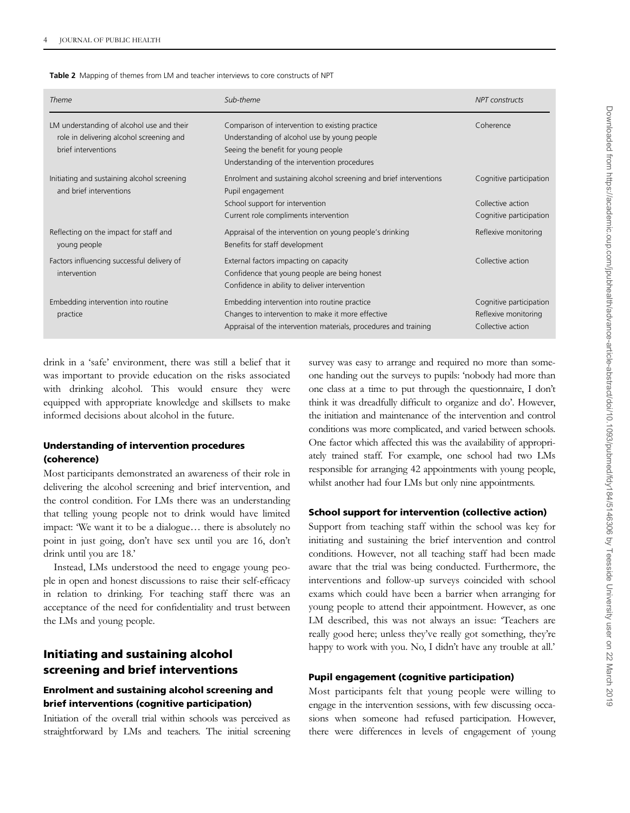<span id="page-3-0"></span>

|  |  |  |  |  |  |  |  | Table 2 Mapping of themes from LM and teacher interviews to core constructs of NPT |  |
|--|--|--|--|--|--|--|--|------------------------------------------------------------------------------------|--|
|--|--|--|--|--|--|--|--|------------------------------------------------------------------------------------|--|

| Theme                                                                                                        | Sub-theme                                                                                                                                                                              | <b>NPT</b> constructs                                                   |
|--------------------------------------------------------------------------------------------------------------|----------------------------------------------------------------------------------------------------------------------------------------------------------------------------------------|-------------------------------------------------------------------------|
| LM understanding of alcohol use and their<br>role in delivering alcohol screening and<br>brief interventions | Comparison of intervention to existing practice<br>Understanding of alcohol use by young people<br>Seeing the benefit for young people<br>Understanding of the intervention procedures | Coherence                                                               |
| Initiating and sustaining alcohol screening<br>and brief interventions                                       | Enrolment and sustaining alcohol screening and brief interventions<br>Pupil engagement<br>School support for intervention<br>Current role compliments intervention                     | Cognitive participation<br>Collective action<br>Cognitive participation |
| Reflecting on the impact for staff and<br>young people                                                       | Appraisal of the intervention on young people's drinking<br>Benefits for staff development                                                                                             | Reflexive monitoring                                                    |
| Factors influencing successful delivery of<br>intervention                                                   | External factors impacting on capacity<br>Confidence that young people are being honest<br>Confidence in ability to deliver intervention                                               | Collective action                                                       |
| Embedding intervention into routine<br>practice                                                              | Embedding intervention into routine practice<br>Changes to intervention to make it more effective<br>Appraisal of the intervention materials, procedures and training                  | Cognitive participation<br>Reflexive monitoring<br>Collective action    |

drink in a 'safe' environment, there was still a belief that it was important to provide education on the risks associated with drinking alcohol. This would ensure they were equipped with appropriate knowledge and skillsets to make informed decisions about alcohol in the future.

### Understanding of intervention procedures (coherence)

Most participants demonstrated an awareness of their role in delivering the alcohol screening and brief intervention, and the control condition. For LMs there was an understanding that telling young people not to drink would have limited impact: 'We want it to be a dialogue… there is absolutely no point in just going, don't have sex until you are 16, don't drink until you are 18.'

Instead, LMs understood the need to engage young people in open and honest discussions to raise their self-efficacy in relation to drinking. For teaching staff there was an acceptance of the need for confidentiality and trust between the LMs and young people.

# Initiating and sustaining alcohol screening and brief interventions

# Enrolment and sustaining alcohol screening and brief interventions (cognitive participation)

Initiation of the overall trial within schools was perceived as straightforward by LMs and teachers. The initial screening survey was easy to arrange and required no more than someone handing out the surveys to pupils: 'nobody had more than one class at a time to put through the questionnaire, I don't think it was dreadfully difficult to organize and do'. However, the initiation and maintenance of the intervention and control conditions was more complicated, and varied between schools. One factor which affected this was the availability of appropriately trained staff. For example, one school had two LMs responsible for arranging 42 appointments with young people, whilst another had four LMs but only nine appointments.

### School support for intervention (collective action)

Support from teaching staff within the school was key for initiating and sustaining the brief intervention and control conditions. However, not all teaching staff had been made aware that the trial was being conducted. Furthermore, the interventions and follow-up surveys coincided with school exams which could have been a barrier when arranging for young people to attend their appointment. However, as one LM described, this was not always an issue: 'Teachers are really good here; unless they've really got something, they're happy to work with you. No, I didn't have any trouble at all.'

### Pupil engagement (cognitive participation)

Most participants felt that young people were willing to engage in the intervention sessions, with few discussing occasions when someone had refused participation. However, there were differences in levels of engagement of young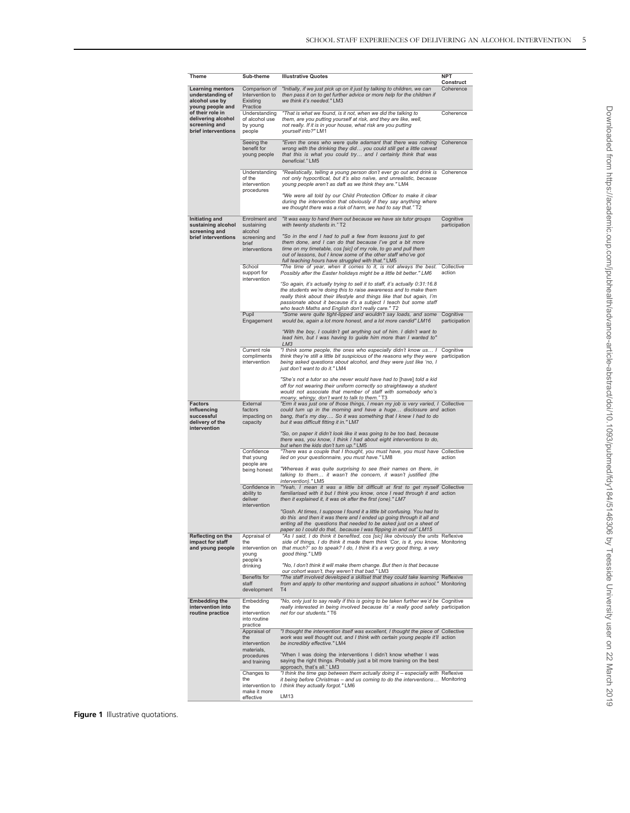<span id="page-4-0"></span>

| Theme                                                                                                                                                               | Sub-theme                                                     | <b>Illustrative Quotes</b>                                                                                                                                                                                                                                                                                                                             | NPT                        |  |  |
|---------------------------------------------------------------------------------------------------------------------------------------------------------------------|---------------------------------------------------------------|--------------------------------------------------------------------------------------------------------------------------------------------------------------------------------------------------------------------------------------------------------------------------------------------------------------------------------------------------------|----------------------------|--|--|
|                                                                                                                                                                     |                                                               |                                                                                                                                                                                                                                                                                                                                                        | Construct                  |  |  |
| <b>Learning mentors</b><br>understanding of<br>alcohol use by<br>young people and<br>of their role in<br>delivering alcohol<br>screening and<br>brief interventions | Comparison of<br>Intervention to<br>Existing<br>Practice      | "Initially, if we just pick up on it just by talking to children, we can<br>then pass it on to get further advice or more help for the children if<br>we think it's needed." LM3                                                                                                                                                                       | Coherence                  |  |  |
|                                                                                                                                                                     | Understanding<br>of alcohol use<br>by young<br>people         | "That is what we found, is it not, when we did the talking to<br>them, are you putting yourself at risk, and they are like, well,<br>not really. If it is in your house, what risk are you putting<br>yourself into?" LM1                                                                                                                              | Coherence                  |  |  |
|                                                                                                                                                                     | Seeing the<br>benefit for<br>young people                     | "Even the ones who were quite adamant that there was nothing<br>wrong with the drinking they did you could still get a little caveat<br>that this is what you could try and I certainly think that was<br>beneficial." LM5                                                                                                                             | Coherence                  |  |  |
|                                                                                                                                                                     | Understanding<br>of the<br>intervention<br>procedures         | "Realistically, telling a young person don't ever go out and drink is<br>not only hypocritical, but it's also naïve, and unrealistic, because<br>young people aren't as daft as we think they are." LM4                                                                                                                                                | Coherence                  |  |  |
|                                                                                                                                                                     |                                                               | "We were all told by our Child Protection Officer to make it clear<br>during the intervention that obviously if they say anything where<br>we thought there was a risk of harm, we had to say that." T2                                                                                                                                                |                            |  |  |
| <b>Initiating and</b><br>sustaining alcohol<br>screening and<br>brief interventions                                                                                 | Enrolment and<br>sustaining<br>alcohol                        | "It was easy to hand them out because we have six tutor groups<br>with twenty students in." T2                                                                                                                                                                                                                                                         | Cognitive<br>participation |  |  |
|                                                                                                                                                                     | screening and<br>brief<br>interventions                       | "So in the end I had to pull a few from lessons just to get<br>them done, and I can do that because I've got a bit more<br>time on my timetable, cos [sic] of my role, to go and pull them<br>out of lessons, but I know some of the other staff who've got<br>full teaching hours have struggled with that." LM5                                      |                            |  |  |
|                                                                                                                                                                     | School<br>support for<br>intervention                         | "The time of year, when it comes to it, is not always the best.<br>Possibly after the Easter holidays might be a little bit better." LM6                                                                                                                                                                                                               | Collective<br>action       |  |  |
|                                                                                                                                                                     |                                                               | "So again, it's actually trying to sell it to staff, it's actually 0:31:16.8<br>the students we're doing this to raise awareness and to make them<br>really think about their lifestyle and things like that but again, I'm<br>passionate about it because it's a subject I teach but some staff<br>who teach Maths and English don't really care." T2 |                            |  |  |
|                                                                                                                                                                     | Pupil<br>Engagement                                           | "Some were quite tight-lipped and wouldn't say loads, and some<br>would be, again a lot more honest, and a lot more candid" LM16                                                                                                                                                                                                                       | Cognitive<br>participation |  |  |
|                                                                                                                                                                     |                                                               | "With the boy, I couldn't get anything out of him. I didn't want to<br>lead him, but I was having to guide him more than I wanted to"                                                                                                                                                                                                                  |                            |  |  |
|                                                                                                                                                                     | Current role<br>compliments<br>intervention                   | LM3<br>"I think some people, the ones who especially didn't know us I<br>think they're still a little bit suspicious of the reasons why they were<br>being asked questions about alcohol, and they were just like 'no, I<br>just don't want to do it." LM4                                                                                             | Cognitive<br>participation |  |  |
|                                                                                                                                                                     |                                                               | "She's not a tutor so she never would have had to [have] told a kid<br>off for not wearing their uniform correctly so straightaway a student<br>would not associate that member of staff with somebody who's<br>moany, whingy, don't want to talk to them." T3                                                                                         |                            |  |  |
| <b>Factors</b><br>influencing<br>successful<br>delivery of the<br>intervention                                                                                      | External<br>factors<br>impacting on<br>capacity               | "Erm it was just one of those things, I mean my job is very varied, I Collective<br>could turn up in the morning and have a huge disclosure and action<br>bang, that's my day So it was something that I knew I had to do<br>but it was difficult fitting it in." LM7                                                                                  |                            |  |  |
|                                                                                                                                                                     |                                                               | "So, on paper it didn't look like it was going to be too bad, because<br>there was, you know, I think I had about eight interventions to do,<br>but when the kids don't turn up." LM5                                                                                                                                                                  |                            |  |  |
|                                                                                                                                                                     | Confidence<br>that young<br>people are                        | "There was a couple that I thought, you must have, you must have Collective<br>lied on your questionnaire, you must have." LM8                                                                                                                                                                                                                         | action                     |  |  |
|                                                                                                                                                                     | being honest                                                  | "Whereas it was quite surprising to see their names on there, in<br>talking to them it wasn't the concern, it wasn't justified (the<br>intervention)." LM5                                                                                                                                                                                             |                            |  |  |
|                                                                                                                                                                     | Confidence in<br>ability to<br>deliver<br>intervention        | "Yeah, I mean it was a little bit difficult at first to get myself Collective<br>familiarised with it but I think you know, once I read through it and action<br>then it explained it, it was ok after the first (one)." LM7                                                                                                                           |                            |  |  |
|                                                                                                                                                                     |                                                               | "Gosh. At times, I suppose I found it a little bit confusing. You had to<br>do this and then it was there and I ended up going through it all and<br>writing all the questions that needed to be asked just on a sheet of<br>paper so I could do that, because I was flipping in and out" LM15                                                         |                            |  |  |
| Reflecting on the<br>impact for staff                                                                                                                               | Appraisal of<br>the                                           | "As I said, I do think it benefited, cos [sic] like obviously the units Reflexive<br>side of things, I do think it made them think 'Cor, is it, you know, Monitoring                                                                                                                                                                                   |                            |  |  |
| and young people                                                                                                                                                    | intervention on<br>young<br>people's                          | that much?' so to speak? I do, I think it's a very good thing, a very<br>good thing." LM9                                                                                                                                                                                                                                                              |                            |  |  |
|                                                                                                                                                                     | drinking                                                      | "No, I don't think it will make them change. But then is that because<br>our cohort wasn't, they weren't that bad." LM3                                                                                                                                                                                                                                |                            |  |  |
|                                                                                                                                                                     | Benefits for<br>staff<br>development                          | "The staff involved developed a skillset that they could take learning Reflexive<br>from and apply to other mentoring and support situations in school." Monitoring<br>T <sub>4</sub>                                                                                                                                                                  |                            |  |  |
| <b>Embedding the</b><br>intervention into<br>routine practice                                                                                                       | Embedding<br>the<br>intervention<br>into routine              | "No, only just to say really if this is going to be taken further we'd be Cognitive<br>really interested in being involved because its' a really good safety participation<br>net for our students." T6                                                                                                                                                |                            |  |  |
|                                                                                                                                                                     | practice<br>Appraisal of<br>the<br>intervention<br>materials, | "I thought the intervention itself was excellent, I thought the piece of Collective<br>work was well thought out, and I think with certain young people it'll action<br>be incredibly effective." LM4                                                                                                                                                  |                            |  |  |
|                                                                                                                                                                     | procedures<br>and training                                    | "When I was doing the interventions I didn't know whether I was<br>saying the right things. Probably just a bit more training on the best<br>approach, that's all." LM3                                                                                                                                                                                |                            |  |  |
|                                                                                                                                                                     | Changes to<br>the<br>intervention to<br>make it more          | "I think the time gap between them actually doing it - especially with Reflexive<br>it being before Christmas - and us coming to do the interventions Monitoring<br>I think they actually forgot." LM6                                                                                                                                                 |                            |  |  |
|                                                                                                                                                                     | effective                                                     | LM13                                                                                                                                                                                                                                                                                                                                                   |                            |  |  |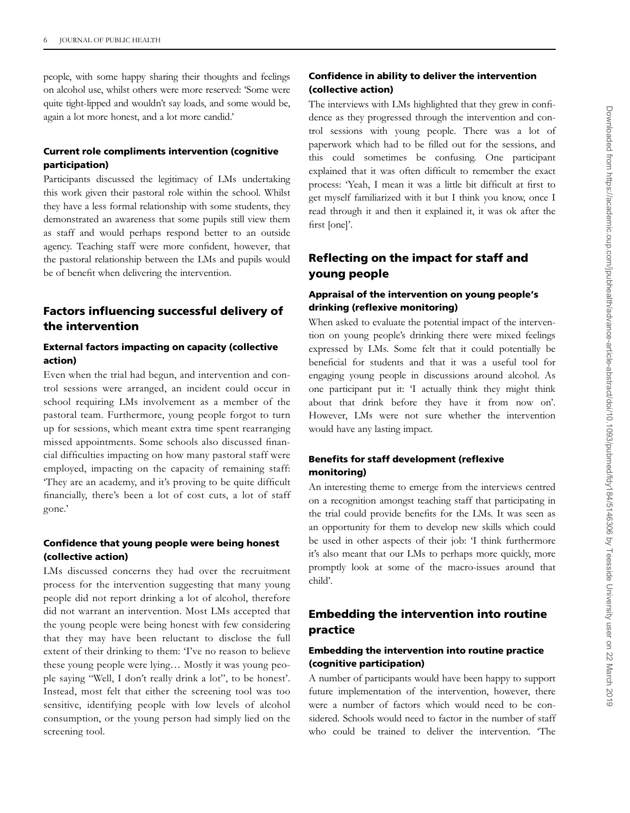people, with some happy sharing their thoughts and feelings on alcohol use, whilst others were more reserved: 'Some were quite tight-lipped and wouldn't say loads, and some would be, again a lot more honest, and a lot more candid.'

# Current role compliments intervention (cognitive participation)

Participants discussed the legitimacy of LMs undertaking this work given their pastoral role within the school. Whilst they have a less formal relationship with some students, they demonstrated an awareness that some pupils still view them as staff and would perhaps respond better to an outside agency. Teaching staff were more confident, however, that the pastoral relationship between the LMs and pupils would be of benefit when delivering the intervention.

# Factors influencing successful delivery of the intervention

# External factors impacting on capacity (collective action)

Even when the trial had begun, and intervention and control sessions were arranged, an incident could occur in school requiring LMs involvement as a member of the pastoral team. Furthermore, young people forgot to turn up for sessions, which meant extra time spent rearranging missed appointments. Some schools also discussed financial difficulties impacting on how many pastoral staff were employed, impacting on the capacity of remaining staff: 'They are an academy, and it's proving to be quite difficult financially, there's been a lot of cost cuts, a lot of staff gone.'

# Confidence that young people were being honest (collective action)

LMs discussed concerns they had over the recruitment process for the intervention suggesting that many young people did not report drinking a lot of alcohol, therefore did not warrant an intervention. Most LMs accepted that the young people were being honest with few considering that they may have been reluctant to disclose the full extent of their drinking to them: 'I've no reason to believe these young people were lying… Mostly it was young people saying "Well, I don't really drink a lot", to be honest'. Instead, most felt that either the screening tool was too sensitive, identifying people with low levels of alcohol consumption, or the young person had simply lied on the screening tool.

# Confidence in ability to deliver the intervention (collective action)

The interviews with LMs highlighted that they grew in confidence as they progressed through the intervention and control sessions with young people. There was a lot of paperwork which had to be filled out for the sessions, and this could sometimes be confusing. One participant explained that it was often difficult to remember the exact process: 'Yeah, I mean it was a little bit difficult at first to get myself familiarized with it but I think you know, once I read through it and then it explained it, it was ok after the first [one]'.

# Reflecting on the impact for staff and young people

# Appraisal of the intervention on young people's drinking (reflexive monitoring)

When asked to evaluate the potential impact of the intervention on young people's drinking there were mixed feelings expressed by LMs. Some felt that it could potentially be beneficial for students and that it was a useful tool for engaging young people in discussions around alcohol. As one participant put it: 'I actually think they might think about that drink before they have it from now on'. However, LMs were not sure whether the intervention would have any lasting impact.

# Benefits for staff development (reflexive monitoring)

An interesting theme to emerge from the interviews centred on a recognition amongst teaching staff that participating in the trial could provide benefits for the LMs. It was seen as an opportunity for them to develop new skills which could be used in other aspects of their job: 'I think furthermore it's also meant that our LMs to perhaps more quickly, more promptly look at some of the macro-issues around that child'.

# Embedding the intervention into routine practice

# Embedding the intervention into routine practice (cognitive participation)

A number of participants would have been happy to support future implementation of the intervention, however, there were a number of factors which would need to be considered. Schools would need to factor in the number of staff who could be trained to deliver the intervention. 'The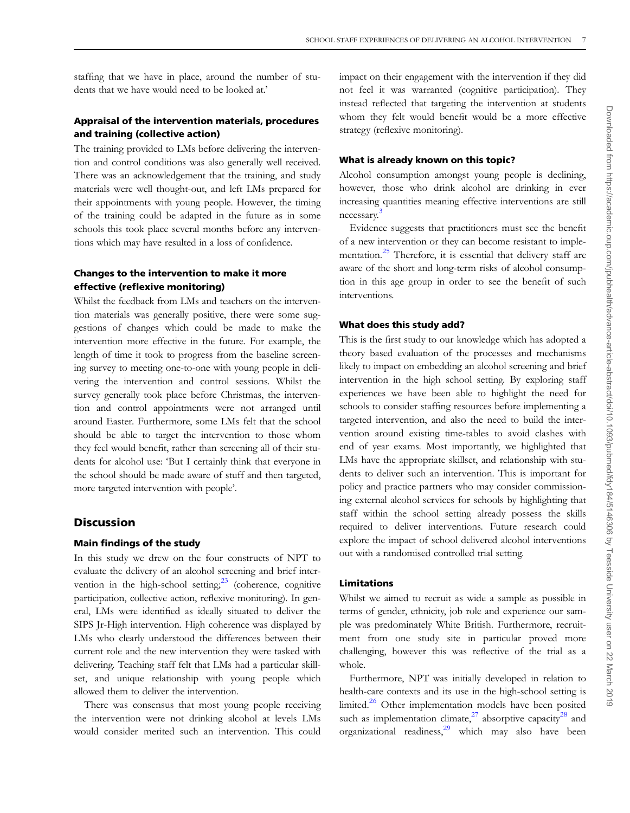staffing that we have in place, around the number of students that we have would need to be looked at.'

### Appraisal of the intervention materials, procedures and training (collective action)

The training provided to LMs before delivering the intervention and control conditions was also generally well received. There was an acknowledgement that the training, and study materials were well thought-out, and left LMs prepared for their appointments with young people. However, the timing of the training could be adapted in the future as in some schools this took place several months before any interventions which may have resulted in a loss of confidence.

# Changes to the intervention to make it more effective (reflexive monitoring)

Whilst the feedback from LMs and teachers on the intervention materials was generally positive, there were some suggestions of changes which could be made to make the intervention more effective in the future. For example, the length of time it took to progress from the baseline screening survey to meeting one-to-one with young people in delivering the intervention and control sessions. Whilst the survey generally took place before Christmas, the intervention and control appointments were not arranged until around Easter. Furthermore, some LMs felt that the school should be able to target the intervention to those whom they feel would benefit, rather than screening all of their students for alcohol use: 'But I certainly think that everyone in the school should be made aware of stuff and then targeted, more targeted intervention with people'.

### **Discussion**

# Main findings of the study

In this study we drew on the four constructs of NPT to evaluate the delivery of an alcohol screening and brief intervention in the high-school setting; $^{23}$  $^{23}$  $^{23}$  (coherence, cognitive participation, collective action, reflexive monitoring). In general, LMs were identified as ideally situated to deliver the SIPS Jr-High intervention. High coherence was displayed by LMs who clearly understood the differences between their current role and the new intervention they were tasked with delivering. Teaching staff felt that LMs had a particular skillset, and unique relationship with young people which allowed them to deliver the intervention.

There was consensus that most young people receiving the intervention were not drinking alcohol at levels LMs would consider merited such an intervention. This could

impact on their engagement with the intervention if they did not feel it was warranted (cognitive participation). They instead reflected that targeting the intervention at students whom they felt would benefit would be a more effective strategy (reflexive monitoring).

#### What is already known on this topic?

Alcohol consumption amongst young people is declining, however, those who drink alcohol are drinking in ever increasing quantities meaning effective interventions are still necessary.<sup>[3](#page-7-0)</sup>

Evidence suggests that practitioners must see the benefit of a new intervention or they can become resistant to implementation. $25$  Therefore, it is essential that delivery staff are aware of the short and long-term risks of alcohol consumption in this age group in order to see the benefit of such interventions.

### What does this study add?

This is the first study to our knowledge which has adopted a theory based evaluation of the processes and mechanisms likely to impact on embedding an alcohol screening and brief intervention in the high school setting. By exploring staff experiences we have been able to highlight the need for schools to consider staffing resources before implementing a targeted intervention, and also the need to build the intervention around existing time-tables to avoid clashes with end of year exams. Most importantly, we highlighted that LMs have the appropriate skillset, and relationship with students to deliver such an intervention. This is important for policy and practice partners who may consider commissioning external alcohol services for schools by highlighting that staff within the school setting already possess the skills required to deliver interventions. Future research could explore the impact of school delivered alcohol interventions out with a randomised controlled trial setting.

### Limitations

Whilst we aimed to recruit as wide a sample as possible in terms of gender, ethnicity, job role and experience our sample was predominately White British. Furthermore, recruitment from one study site in particular proved more challenging, however this was reflective of the trial as a whole.

Furthermore, NPT was initially developed in relation to health-care contexts and its use in the high-school setting is limited.<sup>[26](#page-8-0)</sup> Other implementation models have been posited such as implementation climate, $2^7$  absorptive capacity $2^8$  and organizational readiness, $2^9$  which may also have been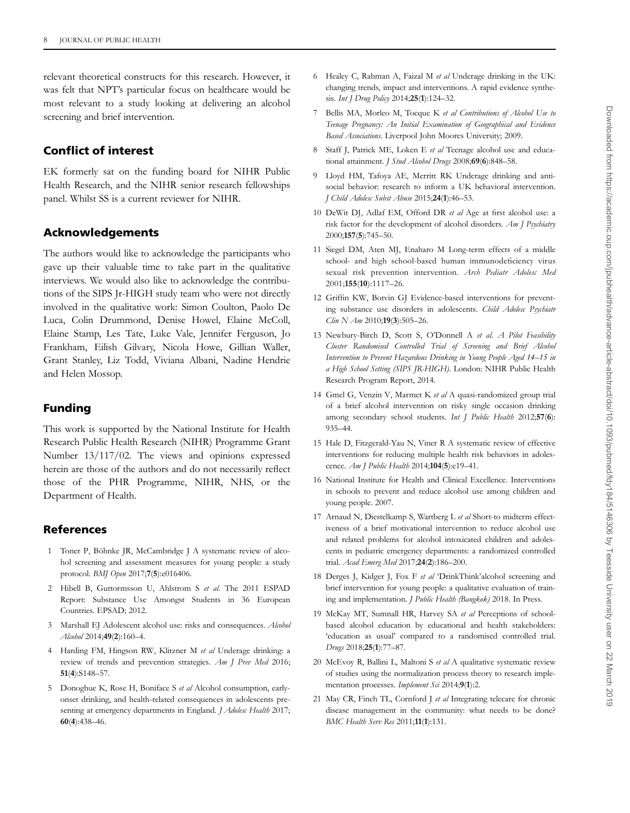<span id="page-7-0"></span>relevant theoretical constructs for this research. However, it was felt that NPT's particular focus on healthcare would be most relevant to a study looking at delivering an alcohol screening and brief intervention.

# Conflict of interest

EK formerly sat on the funding board for NIHR Public Health Research, and the NIHR senior research fellowships panel. Whilst SS is a current reviewer for NIHR.

# Acknowledgements

The authors would like to acknowledge the participants who gave up their valuable time to take part in the qualitative interviews. We would also like to acknowledge the contributions of the SIPS Jr-HIGH study team who were not directly involved in the qualitative work: Simon Coulton, Paolo De Luca, Colin Drummond, Denise Howel, Elaine McColl, Elaine Stamp, Les Tate, Luke Vale, Jennifer Ferguson, Jo Frankham, Eilish Gilvary, Nicola Howe, Gillian Waller, Grant Stanley, Liz Todd, Viviana Albani, Nadine Hendrie and Helen Mossop.

# Funding

This work is supported by the National Institute for Health Research Public Health Research (NIHR) Programme Grant Number 13/117/02. The views and opinions expressed herein are those of the authors and do not necessarily reflect those of the PHR Programme, NIHR, NHS, or the Department of Health.

# References

- 1 Toner P, Böhnke JR, McCambridge J A systematic review of alcohol screening and assessment measures for young people: a study protocol. BMJ Open 2017;7(5):e016406.
- 2 Hibell B, Guttormsson U, Ahlstrom S et al. The 2011 ESPAD Report: Substance Use Amongst Students in 36 European Countries. EPSAD; 2012.
- 3 Marshall EJ Adolescent alcohol use: risks and consequences. Alcohol Alcohol 2014;49(2):160-4.
- 4 Harding FM, Hingson RW, Klitzner M et al Underage drinking: a review of trends and prevention strategies. Am J Prev Med 2016; 51(4):S148–57.
- 5 Donoghue K, Rose H, Boniface S et al Alcohol consumption, earlyonset drinking, and health-related consequences in adolescents presenting at emergency departments in England. J Adolesc Health 2017; 60(4):438–46.
- 6 Healey C, Rahman A, Faizal M et al Underage drinking in the UK: changing trends, impact and interventions. A rapid evidence synthesis. Int J Drug Policy 2014;25(1):124-32.
- 7 Bellis MA, Morleo M, Tocque K et al Contributions of Alcohol Use to Teenage Pregnancy: An Initial Examination of Geographical and Evidence Based Associations. Liverpool John Moores University; 2009.
- 8 Staff J, Patrick ME, Loken E et al Teenage alcohol use and educational attainment. J Stud Alcohol Drugs 2008;69(6):848-58.
- 9 Lloyd HM, Tafoya AE, Merritt RK Underage drinking and antisocial behavior: research to inform a UK behavioral intervention. J Child Adolesc Subst Abuse 2015;24(1):46–53.
- 10 DeWit DJ, Adlaf EM, Offord DR et al Age at first alcohol use: a risk factor for the development of alcohol disorders. Am J Psychiatry 2000;157(5):745–50.
- 11 Siegel DM, Aten MJ, Enaharo M Long-term effects of a middle school- and high school-based human immunodeficiency virus sexual risk prevention intervention. Arch Pediatr Adolesc Med 2001;155(10):1117–26.
- 12 Griffin KW, Botvin GJ Evidence-based interventions for preventing substance use disorders in adolescents. Child Adolesc Psychiatr Clin N  $Am$  2010;19(3):505-26.
- 13 Newbury-Birch D, Scott S, O'Donnell A et al. A Pilot Feasibility Cluster Randomised Controlled Trial of Screening and Brief Alcohol Intervention to Prevent Hazardous Drinking in Young People Aged 14–15 in a High School Setting (SIPS JR-HIGH). London: NIHR Public Health Research Program Report, 2014.
- 14 Gmel G, Venzin V, Marmet K et al A quasi-randomized group trial of a brief alcohol intervention on risky single occasion drinking among secondary school students. Int J Public Health 2012;57(6): 935–44.
- 15 Hale D, Fitzgerald-Yau N, Viner R A systematic review of effective interventions for reducing multiple health risk behaviors in adolescence. Am J Public Health 2014;104(5):e19-41.
- 16 National Institute for Health and Clinical Excellence. Interventions in schools to prevent and reduce alcohol use among children and young people. 2007.
- 17 Arnaud N, Diestelkamp S, Wartberg L et al Short-to midterm effectiveness of a brief motivational intervention to reduce alcohol use and related problems for alcohol intoxicated children and adolescents in pediatric emergency departments: a randomized controlled trial. Acad Emerg Med 2017;24(2):186–200.
- 18 Derges J, Kidger J, Fox F et al 'DrinkThink'alcohol screening and brief intervention for young people: a qualitative evaluation of training and implementation. J Public Health (Bangkok) 2018. In Press.
- 19 McKay MT, Sumnall HR, Harvey SA et al Perceptions of schoolbased alcohol education by educational and health stakeholders: 'education as usual' compared to a randomised controlled trial. Drugs 2018;25(1):77–87.
- 20 McEvoy R, Ballini L, Maltoni S et al A qualitative systematic review of studies using the normalization process theory to research implementation processes. Implement Sci 2014;9(1):2.
- 21 May CR, Finch TL, Cornford J et al Integrating telecare for chronic disease management in the community: what needs to be done? BMC Health Serv Res 2011;11(1):131.